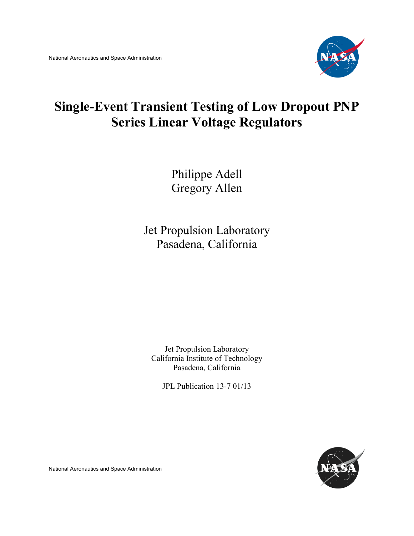

# **Single-Event Transient Testing of Low Dropout PNP Series Linear Voltage Regulators**

Philippe Adell Gregory Allen

Jet Propulsion Laboratory Pasadena, California

Jet Propulsion Laboratory California Institute of Technology Pasadena, California

JPL Publication 13-7 01/13



National Aeronautics and Space Administration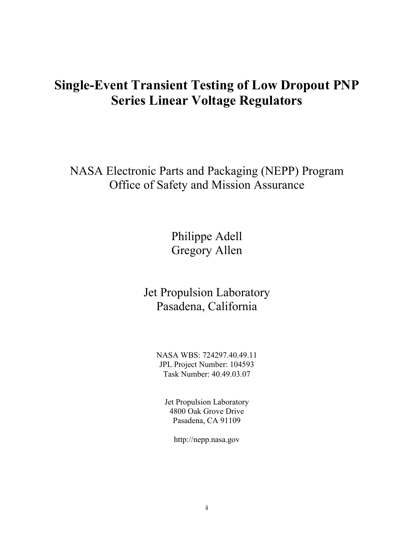## **Single-Event Transient Testing of Low Dropout PNP Series Linear Voltage Regulators**

NASA Electronic Parts and Packaging (NEPP) Program Office of Safety and Mission Assurance

> Philippe Adell Gregory Allen

Jet Propulsion Laboratory Pasadena, California

NASA WBS: 724297.40.49.11 JPL Project Number: 104593 Task Number: 40.49.03.07

Jet Propulsion Laboratory 4800 Oak Grove Drive Pasadena, CA 91109

http://nepp.nasa.gov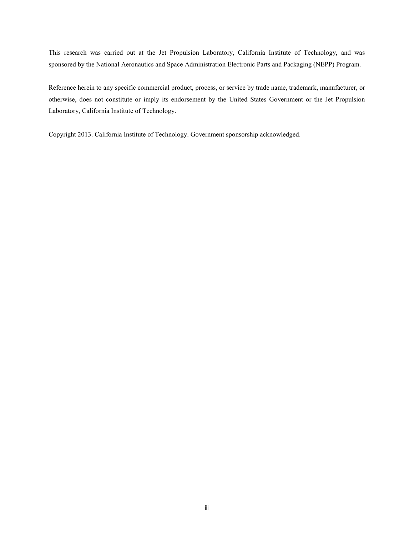This research was carried out at the Jet Propulsion Laboratory, California Institute of Technology, and was sponsored by the National Aeronautics and Space Administration Electronic Parts and Packaging (NEPP) Program.

Reference herein to any specific commercial product, process, or service by trade name, trademark, manufacturer, or otherwise, does not constitute or imply its endorsement by the United States Government or the Jet Propulsion Laboratory, California Institute of Technology.

Copyright 2013. California Institute of Technology. Government sponsorship acknowledged.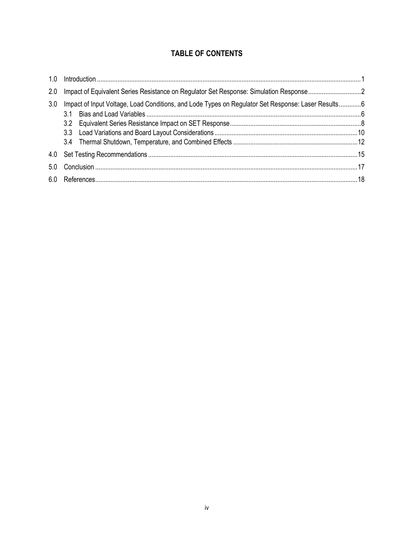## **TABLE OF CONTENTS**

| 2.0 |                                                                                                    |  |  |  |  |
|-----|----------------------------------------------------------------------------------------------------|--|--|--|--|
| 3.0 | Impact of Input Voltage, Load Conditions, and Lode Types on Regulator Set Response: Laser Results6 |  |  |  |  |
|     |                                                                                                    |  |  |  |  |
| 4.0 |                                                                                                    |  |  |  |  |
| 5.0 |                                                                                                    |  |  |  |  |
|     |                                                                                                    |  |  |  |  |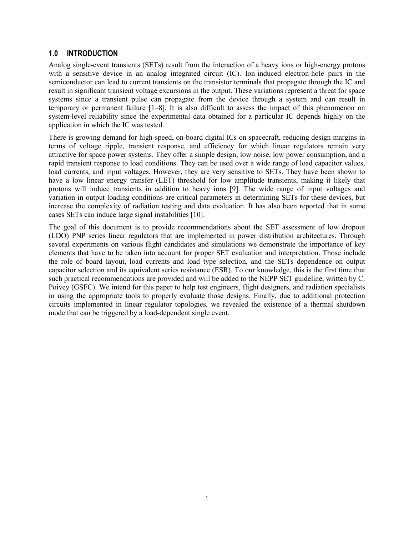## <span id="page-4-0"></span>**1.0 INTRODUCTION**

Analog single-event transients (SETs) result from the interaction of a heavy ions or high-energy protons with a sensitive device in an analog integrated circuit (IC). Ion-induced electron-hole pairs in the semiconductor can lead to current transients on the transistor terminals that propagate through the IC and result in significant transient voltage excursions in the output. These variations represent a threat for space systems since a transient pulse can propagate from the device through a system and can result in temporary or permanent failure [1–8]. It is also difficult to assess the impact of this phenomenon on system-level reliability since the experimental data obtained for a particular IC depends highly on the application in which the IC was tested.

There is growing demand for high-speed, on-board digital ICs on spacecraft, reducing design margins in terms of voltage ripple, transient response, and efficiency for which linear regulators remain very attractive for space power systems. They offer a simple design, low noise, low power consumption, and a rapid transient response to load conditions. They can be used over a wide range of load capacitor values, load currents, and input voltages. However, they are very sensitive to SETs. They have been shown to have a low linear energy transfer (LET) threshold for low amplitude transients, making it likely that protons will induce transients in addition to heavy ions [9]. The wide range of input voltages and variation in output loading conditions are critical parameters in determining SETs for these devices, but increase the complexity of radiation testing and data evaluation. It has also been reported that in some cases SETs can induce large signal instabilities [10].

The goal of this document is to provide recommendations about the SET assessment of low dropout (LDO) PNP series linear regulators that are implemented in power distribution architectures. Through several experiments on various flight candidates and simulations we demonstrate the importance of key elements that have to be taken into account for proper SET evaluation and interpretation. Those include the role of board layout, load currents and load type selection, and the SETs dependence on output capacitor selection and its equivalent series resistance (ESR). To our knowledge, this is the first time that such practical recommendations are provided and will be added to the NEPP SET guideline, written by C. Poivey (GSFC). We intend for this paper to help test engineers, flight designers, and radiation specialists in using the appropriate tools to properly evaluate those designs. Finally, due to additional protection circuits implemented in linear regulator topologies, we revealed the existence of a thermal shutdown mode that can be triggered by a load-dependent single event.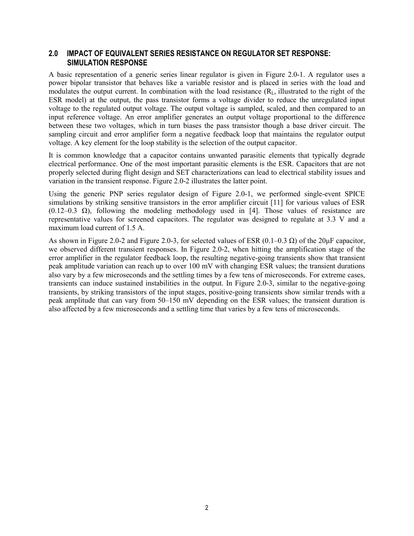### <span id="page-5-0"></span>**2.0 IMPACT OF EQUIVALENT SERIES RESISTANCE ON REGULATOR SET RESPONSE: SIMULATION RESPONSE**

A basic representation of a generic series linear regulator is given in Figure 2.0-1. A regulator uses a power bipolar transistor that behaves like a variable resistor and is placed in series with the load and modulates the output current. In combination with the load resistance  $(R<sub>L</sub>,$  illustrated to the right of the ESR model) at the output, the pass transistor forms a voltage divider to reduce the unregulated input voltage to the regulated output voltage. The output voltage is sampled, scaled, and then compared to an input reference voltage. An error amplifier generates an output voltage proportional to the difference between these two voltages, which in turn biases the pass transistor though a base driver circuit. The sampling circuit and error amplifier form a negative feedback loop that maintains the regulator output voltage. A key element for the loop stability is the selection of the output capacitor.

It is common knowledge that a capacitor contains unwanted parasitic elements that typically degrade electrical performance. One of the most important parasitic elements is the ESR. Capacitors that are not properly selected during flight design and SET characterizations can lead to electrical stability issues and variation in the transient response. Figure 2.0-2 illustrates the latter point.

Using the generic PNP series regulator design of Figure 2.0-1, we performed single-event SPICE simulations by striking sensitive transistors in the error amplifier circuit [11] for various values of ESR  $(0.12-0.3 \Omega)$ , following the modeling methodology used in [4]. Those values of resistance are representative values for screened capacitors. The regulator was designed to regulate at 3.3 V and a maximum load current of 1.5 A.

As shown in Figure 2.0-2 and Figure 2.0-3, for selected values of ESR  $(0.1-0.3 \Omega)$  of the 20 $\mu$ F capacitor, we observed different transient responses. In Figure 2.0-2, when hitting the amplification stage of the error amplifier in the regulator feedback loop, the resulting negative-going transients show that transient peak amplitude variation can reach up to over 100 mV with changing ESR values; the transient durations also vary by a few microseconds and the settling times by a few tens of microseconds. For extreme cases, transients can induce sustained instabilities in the output. In Figure 2.0-3, similar to the negative-going transients, by striking transistors of the input stages, positive-going transients show similar trends with a peak amplitude that can vary from 50–150 mV depending on the ESR values; the transient duration is also affected by a few microseconds and a settling time that varies by a few tens of microseconds.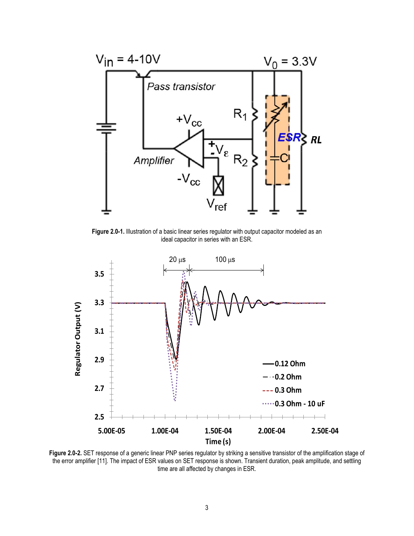

Figure 2.0-1. Illustration of a basic linear series regulator with output capacitor modeled as an ideal capacitor in series with an ESR.



**Figure 2.0-2.** SET response of a generic linear PNP series regulator by striking a sensitive transistor of the amplification stage of the error amplifier [11]. The impact of ESR values on SET response is shown. Transient duration, peak amplitude, and settling time are all affected by changes in ESR.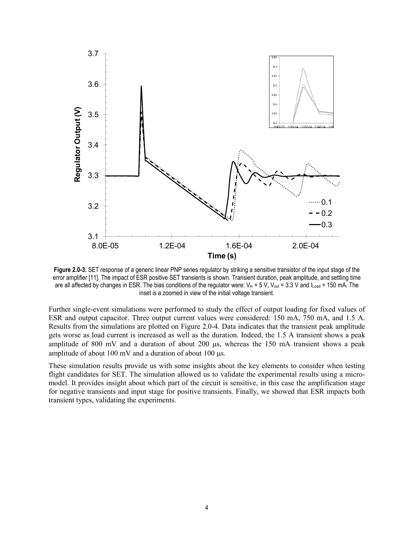

**Figure 2.0-3.** SET response of a generic linear PNP series regulator by striking a sensitive transistor of the input stage of the error amplifier [11]. The impact of ESR positive SET transients is shown. Transient duration, peak amplitude, and settling time are all affected by changes in ESR. The bias conditions of the regulator were:  $V_{in} = 5 V$ ,  $V_{out} = 3.3 V$  and  $I_{load} = 150$  mA. The inset is a zoomed in view of the initial voltage transient.

Further single-event simulations were performed to study the effect of output loading for fixed values of ESR and output capacitor. Three output current values were considered: 150 mA, 750 mA, and 1.5 A. Results from the simulations are plotted on Figure 2.0-4. Data indicates that the transient peak amplitude gets worse as load current is increased as well as the duration. Indeed, the 1.5 A transient shows a peak amplitude of 800 mV and a duration of about 200 µs, whereas the 150 mA transient shows a peak amplitude of about 100 mV and a duration of about 100 µs.

These simulation results provide us with some insights about the key elements to consider when testing flight candidates for SET. The simulation allowed us to validate the experimental results using a micromodel. It provides insight about which part of the circuit is sensitive, in this case the amplification stage for negative transients and input stage for positive transients. Finally, we showed that ESR impacts both transient types, validating the experiments.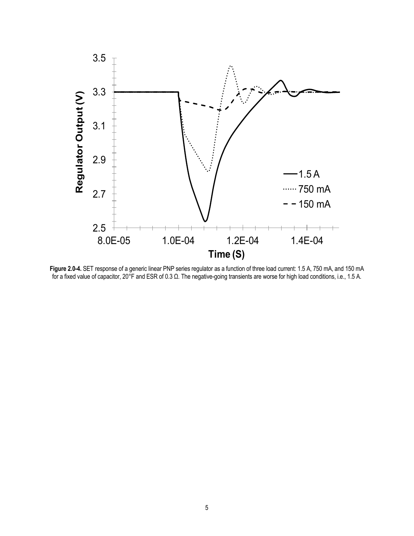

**Figure 2.0-4.** SET response of a generic linear PNP series regulator as a function of three load current: 1.5 A, 750 mA, and 150 mA for a fixed value of capacitor, 20°F and ESR of 0.3 Ω. The negative-going transients are worse for high load conditions, i.e., 1.5 A.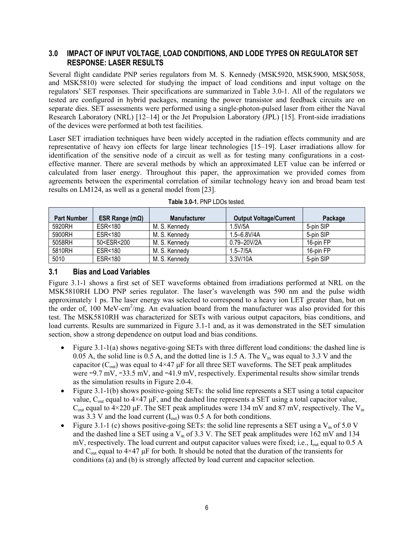## <span id="page-9-0"></span>**3.0 IMPACT OF INPUT VOLTAGE, LOAD CONDITIONS, AND LODE TYPES ON REGULATOR SET RESPONSE: LASER RESULTS**

Several flight candidate PNP series regulators from M. S. Kennedy (MSK5920, MSK5900, MSK5058, and MSK5810) were selected for studying the impact of load conditions and input voltage on the regulators' SET responses. Their specifications are summarized in Table 3.0-1. All of the regulators we tested are configured in hybrid packages, meaning the power transistor and feedback circuits are on separate dies. SET assessments were performed using a single-photon-pulsed laser from either the Naval Research Laboratory (NRL) [12–14] or the Jet Propulsion Laboratory (JPL) [15]. Front-side irradiations of the devices were performed at both test facilities.

Laser SET irradiation techniques have been widely accepted in the radiation effects community and are representative of heavy ion effects for large linear technologies [15–19]. Laser irradiations allow for identification of the sensitive node of a circuit as well as for testing many configurations in a costeffective manner. There are several methods by which an approximated LET value can be inferred or calculated from laser energy. Throughout this paper, the approximation we provided comes from agreements between the experimental correlation of similar technology heavy ion and broad beam test results on LM124, as well as a general model from [23].

| <b>Part Number</b> | ESR Range ( $m\Omega$ )                                                                    | <b>Manufacturer</b> | <b>Output Voltage/Current</b> | Package   |
|--------------------|--------------------------------------------------------------------------------------------|---------------------|-------------------------------|-----------|
| 5920RH             | ESR<180                                                                                    | M. S. Kennedy       | 1.5V/5A                       | 5-pin SIP |
| 5900RH             | <b>ESR&lt;180</b>                                                                          | M. S. Kennedy       | $1.5 - 6.8$ V/4A              | 5-pin SIP |
| 5058RH             | 50 <esr<200< td=""><td>M. S. Kennedy</td><td>0.79-20V/2A</td><td>16-pin FP</td></esr<200<> | M. S. Kennedy       | 0.79-20V/2A                   | 16-pin FP |
| 5810RH             | ESR<180                                                                                    | M. S. Kennedy       | 1.5–7/5A                      | 16-pin FP |
| 5010               | ESR<180                                                                                    | M. S. Kennedy       | 3.3V/10A                      | 5-pin SIP |

**Table 3.0-1.** PNP LDOs tested.

### <span id="page-9-1"></span>**3.1 Bias and Load Variables**

Figure 3.1-1 shows a first set of SET waveforms obtained from irradiations performed at NRL on the MSK5810RH LDO PNP series regulator. The laser's wavelength was 590 nm and the pulse width approximately 1 ps. The laser energy was selected to correspond to a heavy ion LET greater than, but on the order of, 100 MeV-cm<sup>2</sup>/mg. An evaluation board from the manufacturer was also provided for this test. The MSK5810RH was characterized for SETs with various output capacitors, bias conditions, and load currents. Results are summarized in Figure 3.1-1 and, as it was demonstrated in the SET simulation section, show a strong dependence on output load and bias conditions.

- Figure 3.1-1(a) shows negative-going SETs with three different load conditions: the dashed line is 0.05 A, the solid line is 0.5 A, and the dotted line is 1.5 A. The  $V_{in}$  was equal to 3.3 V and the capacitor ( $C_{out}$ ) was equal to 4×47 µF for all three SET waveforms. The SET peak amplitudes were −9.7 mV, −33.5 mV, and −41.9 mV, respectively. Experimental results show similar trends as the simulation results in Figure 2.0-4.
- Figure 3.1-1(b) shows positive-going SETs: the solid line represents a SET using a total capacitor value,  $C_{out}$  equal to 4×47  $\mu$ F, and the dashed line represents a SET using a total capacitor value, C<sub>out</sub> equal to 4×220 μF. The SET peak amplitudes were 134 mV and 87 mV, respectively. The V<sub>in</sub> was 3.3 V and the load current  $(I_{out})$  was 0.5 A for both conditions.
- Figure 3.1-1 (c) shows positive-going SETs: the solid line represents a SET using a  $V<sub>in</sub>$  of 5.0 V and the dashed line a SET using a  $V_{in}$  of 3.3 V. The SET peak amplitudes were 162 mV and 134 mV, respectively. The load current and output capacitor values were fixed; i.e., I<sub>out</sub> equal to 0.5 A and  $C_{\text{out}}$  equal to 4×47 µF for both. It should be noted that the duration of the transients for conditions (a) and (b) is strongly affected by load current and capacitor selection.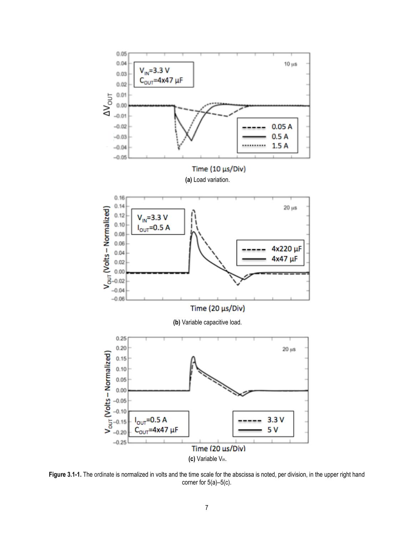

**Figure 3.1-1.** The ordinate is normalized in volts and the time scale for the abscissa is noted, per division, in the upper right hand corner for 5(a)–5(c).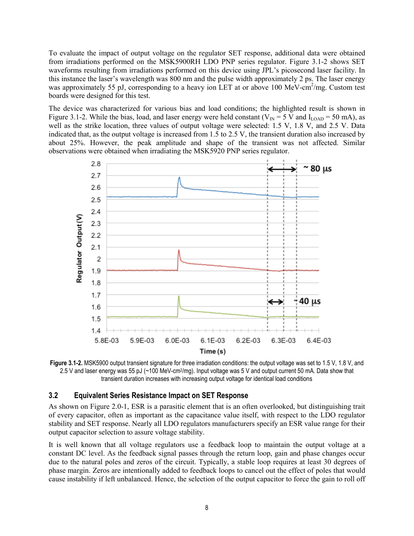To evaluate the impact of output voltage on the regulator SET response, additional data were obtained from irradiations performed on the MSK5900RH LDO PNP series regulator. Figure 3.1-2 shows SET waveforms resulting from irradiations performed on this device using JPL's picosecond laser facility. In this instance the laser's wavelength was 800 nm and the pulse width approximately 2 ps. The laser energy was approximately 55 pJ, corresponding to a heavy ion LET at or above 100 MeV-cm<sup>2</sup>/mg. Custom test boards were designed for this test.

The device was characterized for various bias and load conditions; the highlighted result is shown in Figure 3.1-2. While the bias, load, and laser energy were held constant ( $V_{\text{IN}} = 5$  V and  $I_{\text{LOAD}} = 50$  mA), as well as the strike location, three values of output voltage were selected: 1.5 V, 1.8 V, and 2.5 V. Data indicated that, as the output voltage is increased from 1.5 to 2.5 V, the transient duration also increased by about 25%. However, the peak amplitude and shape of the transient was not affected. Similar observations were obtained when irradiating the MSK5920 PNP series regulator.



**Figure 3.1-2.** MSK5900 output transient signature for three irradiation conditions: the output voltage was set to 1.5 V, 1.8 V, and 2.5 V and laser energy was 55 pJ (~100 MeV-cm2/mg). Input voltage was 5 V and output current 50 mA. Data show that transient duration increases with increasing output voltage for identical load conditions

#### <span id="page-11-0"></span>**3.2 Equivalent Series Resistance Impact on SET Response**

As shown on Figure 2.0-1, ESR is a parasitic element that is an often overlooked, but distinguishing trait of every capacitor, often as important as the capacitance value itself, with respect to the LDO regulator stability and SET response. Nearly all LDO regulators manufacturers specify an ESR value range for their output capacitor selection to assure voltage stability.

It is well known that all voltage regulators use a feedback loop to maintain the output voltage at a constant DC level. As the feedback signal passes through the return loop, gain and phase changes occur due to the natural poles and zeros of the circuit. Typically, a stable loop requires at least 30 degrees of phase margin. Zeros are intentionally added to feedback loops to cancel out the effect of poles that would cause instability if left unbalanced. Hence, the selection of the output capacitor to force the gain to roll off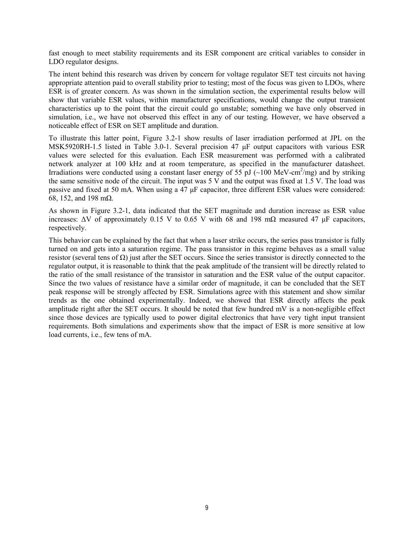fast enough to meet stability requirements and its ESR component are critical variables to consider in LDO regulator designs.

The intent behind this research was driven by concern for voltage regulator SET test circuits not having appropriate attention paid to overall stability prior to testing; most of the focus was given to LDOs, where ESR is of greater concern. As was shown in the simulation section, the experimental results below will show that variable ESR values, within manufacturer specifications, would change the output transient characteristics up to the point that the circuit could go unstable; something we have only observed in simulation, i.e., we have not observed this effect in any of our testing. However, we have observed a noticeable effect of ESR on SET amplitude and duration.

To illustrate this latter point, Figure 3.2-1 show results of laser irradiation performed at JPL on the MSK5920RH-1.5 listed in Table 3.0-1. Several precision 47 μF output capacitors with various ESR values were selected for this evaluation. Each ESR measurement was performed with a calibrated network analyzer at 100 kHz and at room temperature, as specified in the manufacturer datasheet. Irradiations were conducted using a constant laser energy of 55 pJ ( $\sim$ 100 MeV-cm<sup>2</sup>/mg) and by striking the same sensitive node of the circuit. The input was 5 V and the output was fixed at 1.5 V. The load was passive and fixed at 50 mA. When using a 47 μF capacitor, three different ESR values were considered: 68, 152, and 198 mΩ.

As shown in Figure 3.2-1, data indicated that the SET magnitude and duration increase as ESR value increases:  $\Delta V$  of approximately 0.15 V to 0.65 V with 68 and 198 mΩ measured 47 μF capacitors, respectively.

This behavior can be explained by the fact that when a laser strike occurs, the series pass transistor is fully turned on and gets into a saturation regime. The pass transistor in this regime behaves as a small value resistor (several tens of Ω) just after the SET occurs. Since the series transistor is directly connected to the regulator output, it is reasonable to think that the peak amplitude of the transient will be directly related to the ratio of the small resistance of the transistor in saturation and the ESR value of the output capacitor. Since the two values of resistance have a similar order of magnitude, it can be concluded that the SET peak response will be strongly affected by ESR. Simulations agree with this statement and show similar trends as the one obtained experimentally. Indeed, we showed that ESR directly affects the peak amplitude right after the SET occurs. It should be noted that few hundred mV is a non-negligible effect since those devices are typically used to power digital electronics that have very tight input transient requirements. Both simulations and experiments show that the impact of ESR is more sensitive at low load currents, i.e., few tens of mA.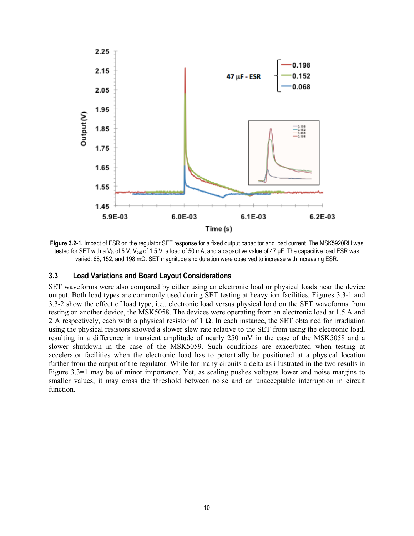

**Figure 3.2-1.** Impact of ESR on the regulator SET response for a fixed output capacitor and load current. The MSK5920RH was tested for SET with a V<sub>in</sub> of 5 V, V<sub>out</sub> of 1.5 V, a load of 50 mA, and a capacitive value of 47 μF. The capacitive load ESR was varied: 68, 152, and 198 mΩ. SET magnitude and duration were observed to increase with increasing ESR.

#### <span id="page-13-0"></span>**3.3 Load Variations and Board Layout Considerations**

SET waveforms were also compared by either using an electronic load or physical loads near the device output. Both load types are commonly used during SET testing at heavy ion facilities. Figures 3.3-1 and 3.3-2 show the effect of load type, i.e., electronic load versus physical load on the SET waveforms from testing on another device, the MSK5058. The devices were operating from an electronic load at 1.5 A and 2 A respectively, each with a physical resistor of 1  $\Omega$ . In each instance, the SET obtained for irradiation using the physical resistors showed a slower slew rate relative to the SET from using the electronic load, resulting in a difference in transient amplitude of nearly 250 mV in the case of the MSK5058 and a slower shutdown in the case of the MSK5059. Such conditions are exacerbated when testing at accelerator facilities when the electronic load has to potentially be positioned at a physical location further from the output of the regulator. While for many circuits a delta as illustrated in the two results in Figure 3.3=1 may be of minor importance. Yet, as scaling pushes voltages lower and noise margins to smaller values, it may cross the threshold between noise and an unacceptable interruption in circuit function.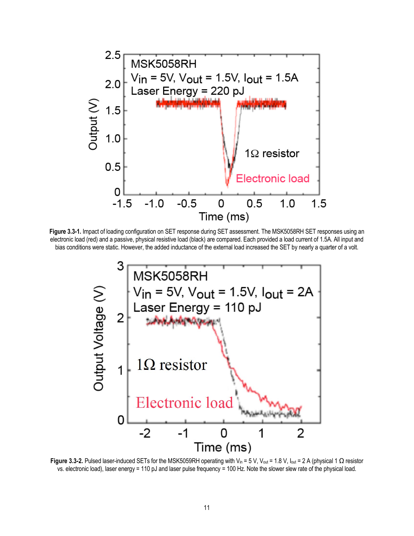

**Figure 3.3-1.** Impact of loading configuration on SET response during SET assessment. The MSK5058RH SET responses using an electronic load (red) and a passive, physical resistive load (black) are compared. Each provided a load current of 1.5A. All input and bias conditions were static. However, the added inductance of the external load increased the SET by nearly a quarter of a volt.



**Figure 3.3-2.** Pulsed laser-induced SETs for the MSK5059RH operating with V<sub>in</sub> = 5 V, V<sub>out</sub> = 1.8 V, I<sub>out</sub> = 2 A (physical 1 Ω resistor vs. electronic load), laser energy = 110 pJ and laser pulse frequency = 100 Hz. Note the slower slew rate of the physical load.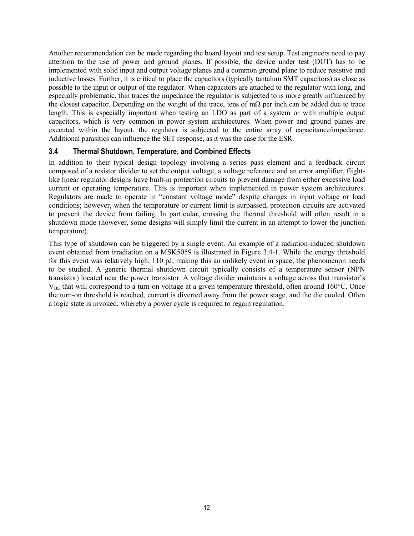Another recommendation can be made regarding the board layout and test setup. Test engineers need to pay attention to the use of power and ground planes. If possible, the device under test (DUT) has to be implemented with solid input and output voltage planes and a common ground plane to reduce resistive and inductive losses. Further, it is critical to place the capacitors (typically tantalum SMT capacitors) as close as possible to the input or output of the regulator. When capacitors are attached to the regulator with long, and especially problematic, thin traces the impedance the regulator is subjected to is more greatly influenced by the closest capacitor. Depending on the weight of the trace, tens of mΩ per inch can be added due to trace length. This is especially important when testing an LDO as part of a system or with multiple output capacitors, which is very common in power system architectures. When power and ground planes are executed within the layout, the regulator is subjected to the entire array of capacitance/impedance. Additional parasitics can influence the SET response, as it was the case for the ESR.

## <span id="page-15-0"></span>**3.4 Thermal Shutdown, Temperature, and Combined Effects**

In addition to their typical design topology involving a series pass element and a feedback circuit composed of a resistor divider to set the output voltage, a voltage reference and an error amplifier, flightlike linear regulator designs have built-in protection circuits to prevent damage from either excessive load current or operating temperature. This is important when implemented in power system architectures. Regulators are made to operate in "constant voltage mode" despite changes in input voltage or load conditions; however, when the temperature or current limit is surpassed, protection circuits are activated to prevent the device from failing. In particular, crossing the thermal threshold will often result in a shutdown mode (however, some designs will simply limit the current in an attempt to lower the junction temperature).

This type of shutdown can be triggered by a single event. An example of a radiation-induced shutdown event obtained from irradiation on a MSK5059 is illustrated in Figure 3.4-1. While the energy threshold for this event was relatively high, 110 pJ, making this an unlikely event in space, the phenomenon needs to be studied. A generic thermal shutdown circuit typically consists of a temperature sensor (NPN transistor) located near the power transistor. A voltage divider maintains a voltage across that transistor's  $V_{BE}$  that will correspond to a turn-on voltage at a given temperature threshold, often around 160 $^{\circ}$ C. Once the turn-on threshold is reached, current is diverted away from the power stage, and the die cooled. Often a logic state is invoked, whereby a power cycle is required to regain regulation.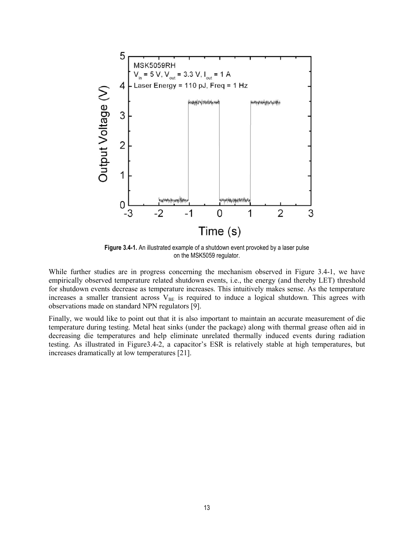

**Figure 3.4-1.** An illustrated example of a shutdown event provoked by a laser pulse on the MSK5059 regulator.

While further studies are in progress concerning the mechanism observed in Figure 3.4-1, we have empirically observed temperature related shutdown events, i.e., the energy (and thereby LET) threshold for shutdown events decrease as temperature increases. This intuitively makes sense. As the temperature increases a smaller transient across  $V_{BE}$  is required to induce a logical shutdown. This agrees with observations made on standard NPN regulators [9].

Finally, we would like to point out that it is also important to maintain an accurate measurement of die temperature during testing. Metal heat sinks (under the package) along with thermal grease often aid in decreasing die temperatures and help eliminate unrelated thermally induced events during radiation testing. As illustrated in Figure3.4-2, a capacitor's ESR is relatively stable at high temperatures, but increases dramatically at low temperatures [21].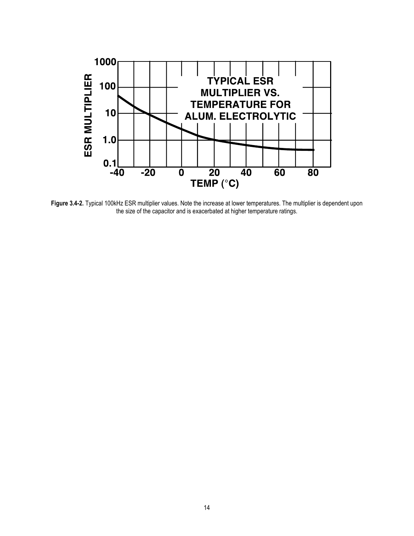

**Figure 3.4-2.** Typical 100kHz ESR multiplier values. Note the increase at lower temperatures. The multiplier is dependent upon the size of the capacitor and is exacerbated at higher temperature ratings.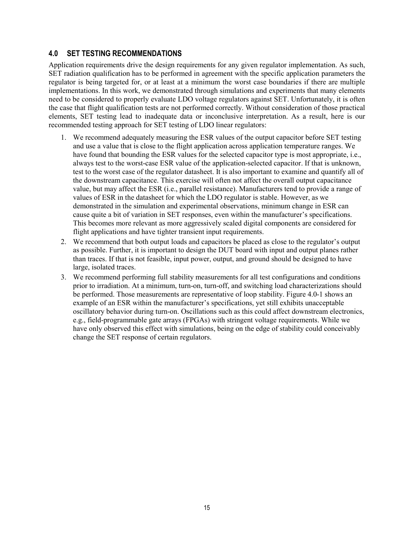## <span id="page-18-0"></span>**4.0 SET TESTING RECOMMENDATIONS**

Application requirements drive the design requirements for any given regulator implementation. As such, SET radiation qualification has to be performed in agreement with the specific application parameters the regulator is being targeted for, or at least at a minimum the worst case boundaries if there are multiple implementations. In this work, we demonstrated through simulations and experiments that many elements need to be considered to properly evaluate LDO voltage regulators against SET. Unfortunately, it is often the case that flight qualification tests are not performed correctly. Without consideration of those practical elements, SET testing lead to inadequate data or inconclusive interpretation. As a result, here is our recommended testing approach for SET testing of LDO linear regulators:

- 1. We recommend adequately measuring the ESR values of the output capacitor before SET testing and use a value that is close to the flight application across application temperature ranges. We have found that bounding the ESR values for the selected capacitor type is most appropriate, i.e., always test to the worst-case ESR value of the application-selected capacitor. If that is unknown, test to the worst case of the regulator datasheet. It is also important to examine and quantify all of the downstream capacitance. This exercise will often not affect the overall output capacitance value, but may affect the ESR (i.e., parallel resistance). Manufacturers tend to provide a range of values of ESR in the datasheet for which the LDO regulator is stable. However, as we demonstrated in the simulation and experimental observations, minimum change in ESR can cause quite a bit of variation in SET responses, even within the manufacturer's specifications. This becomes more relevant as more aggressively scaled digital components are considered for flight applications and have tighter transient input requirements.
- 2. We recommend that both output loads and capacitors be placed as close to the regulator's output as possible. Further, it is important to design the DUT board with input and output planes rather than traces. If that is not feasible, input power, output, and ground should be designed to have large, isolated traces.
- 3. We recommend performing full stability measurements for all test configurations and conditions prior to irradiation. At a minimum, turn-on, turn-off, and switching load characterizations should be performed. Those measurements are representative of loop stability. Figure 4.0-1 shows an example of an ESR within the manufacturer's specifications, yet still exhibits unacceptable oscillatory behavior during turn-on. Oscillations such as this could affect downstream electronics, e.g., field-programmable gate arrays (FPGAs) with stringent voltage requirements. While we have only observed this effect with simulations, being on the edge of stability could conceivably change the SET response of certain regulators.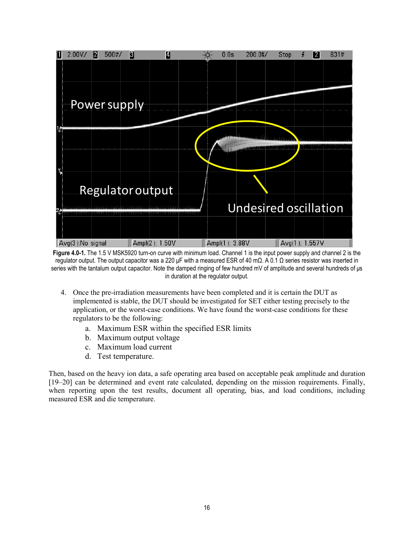

**Figure 4.0-1.** The 1.5 V MSK5920 turn-on curve with minimum load. Channel 1 is the input power supply and channel 2 is the regulator output. The output capacitor was a 220 μF with a measured ESR of 40 mΩ. A 0.1  $\Omega$  series resistor was inserted in series with the tantalum output capacitor. Note the damped ringing of few hundred mV of amplitude and several hundreds of μs in duration at the regulator output.

- 4. Once the pre-irradiation measurements have been completed and it is certain the DUT as implemented is stable, the DUT should be investigated for SET either testing precisely to the application, or the worst-case conditions. We have found the worst-case conditions for these regulators to be the following:
	- a. Maximum ESR within the specified ESR limits
	- b. Maximum output voltage
	- c. Maximum load current
	- d. Test temperature.

Then, based on the heavy ion data, a safe operating area based on acceptable peak amplitude and duration [19–20] can be determined and event rate calculated, depending on the mission requirements. Finally, when reporting upon the test results, document all operating, bias, and load conditions, including measured ESR and die temperature.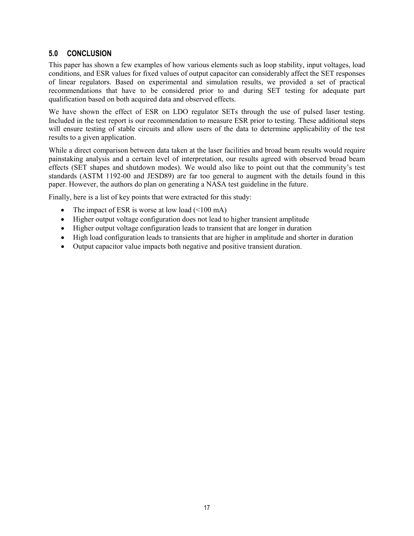## <span id="page-20-0"></span>**5.0 CONCLUSION**

This paper has shown a few examples of how various elements such as loop stability, input voltages, load conditions, and ESR values for fixed values of output capacitor can considerably affect the SET responses of linear regulators. Based on experimental and simulation results, we provided a set of practical recommendations that have to be considered prior to and during SET testing for adequate part qualification based on both acquired data and observed effects.

We have shown the effect of ESR on LDO regulator SETs through the use of pulsed laser testing. Included in the test report is our recommendation to measure ESR prior to testing. These additional steps will ensure testing of stable circuits and allow users of the data to determine applicability of the test results to a given application.

While a direct comparison between data taken at the laser facilities and broad beam results would require painstaking analysis and a certain level of interpretation, our results agreed with observed broad beam effects (SET shapes and shutdown modes). We would also like to point out that the community's test standards (ASTM 1192-00 and JESD89) are far too general to augment with the details found in this paper. However, the authors do plan on generating a NASA test guideline in the future.

Finally, here is a list of key points that were extracted for this study:

- The impact of ESR is worse at low load  $(\leq 100 \text{ mA})$
- Higher output voltage configuration does not lead to higher transient amplitude
- Higher output voltage configuration leads to transient that are longer in duration
- High load configuration leads to transients that are higher in amplitude and shorter in duration
- Output capacitor value impacts both negative and positive transient duration.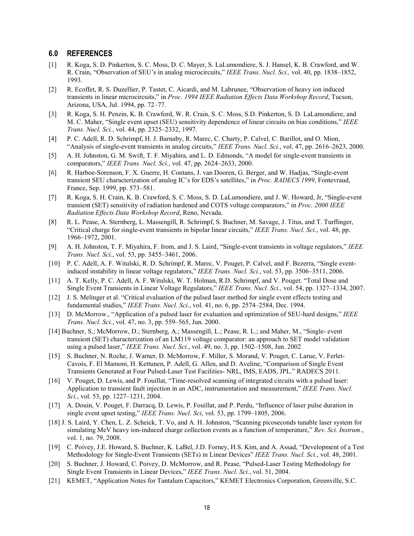#### <span id="page-21-0"></span>**6.0 REFERENCES**

- [1] R. Koga, S. D. Pinkerton, S. C. Moss, D. C. Mayer, S. LaLumondiere, S. J. Hansel, K. B. Crawford, and W. R. Crain, "Observation of SEU's in analog microcircuits," *IEEE Trans. Nucl. Sci.,* vol. 40, pp. 1838–1852, 1993.
- [2] R. Ecoffet, R. S. Duzellier, P. Tastet, C. Aicardi, and M. Labrunee, "Observation of heavy ion induced transients in linear microcircuits," in *Proc. 1994 IEEE Radiation Effects Data Workshop Record*, Tucson, Arizona, USA, Jul. 1994, pp. 72–77.
- [3] R. Koga, S. H. Penzin, K. B. Crawford, W. R. Crain, S. C. Moss, S.D. Pinkerton, S. D. LaLamondiere, and M. C. Maher, "Single event upset (SEU) sensitivity dependence of linear circuits on bias conditions," *IEEE Trans. Nucl. Sci.*, vol. 44, pp. 2325–2332, 1997.
- [4] P. C. Adell, R. D. Schrimpf, H. J. Barnaby, R. Marec, C. Charty, P. Calvel, C. Barillot, and O. Mion, "Analysis of single-event transients in analog circuits," *IEEE Trans. Nucl. Sci.*, vol. 47, pp. 2616–2623, 2000.
- [5] A. H. Johnston, G. M. Swift, T. F. Miyahira, and L. D. Edmonds, "A model for single-event transients in comparators," *IEEE Trans. Nucl. Sci.*, vol. 47, pp. 2624–2633, 2000.
- [6] R. Harboe-Sorenson, F. X. Guerre, H. Contans, J. van Dooren, G. Berger, and W. Hadjas, "Single-event transient SEU characterization of analog IC's for EDS's satellites," in *Proc. RADECS 1999*, Fontevraud, France, Sep. 1999, pp. 573–581.
- [7] R. Koga, S. H. Crain, K. B. Crawford, S. C. Moss, S. D. LaLumondiere, and J. W. Howard, Jr, "Single-event transient (SET) sensitivity of radiation hardened and COTS voltage comparators," in *Proc. 2000 IEEE Radiation Effects Data Workshop Record*, Reno, Nevada.
- [8] R. L. Pease, A. Sternberg, L. Massengill, R. Schrimpf, S. Buchner, M. Savage, J. Titus, and T. Turflinger, "Critical charge for single-event transients in bipolar linear circuits," *IEEE Trans. Nucl. Sci.*, vol. 48, pp. 1966–1972, 2001.
- [9] A. H. Johnston, T. F. Miyahira, F. Irom, and J. S. Laird, "Single-event transients in voltage regulators," *IEEE Trans. Nucl. Sci.*, vol. 53, pp. 3455–3461, 2006.
- [10] P. C. Adell, A. F. Witulski, R. D. Schrimpf, R. Marec, V. Pouget, P. Calvel, and F. Bezerra, "Single eventinduced instability in linear voltage regulators," *IEEE Trans. Nucl. Sci.*, vol. 53, pp. 3506–3511, 2006.
- [11] A. T. Kelly, P. C. Adell, A. F. Witulski, W. T. Holman, R.D. Schrimpf, and V. Pouget. "Total Dose and Single Event Transients in Linear Voltage Regulators," *IEEE Trans. Nucl. Sci.,* vol. 54, pp. 1327–1334, 2007.
- [12] J. S. Melinger et al. "Critical evaluation of the pulsed laser method for single event effects testing and fundamental studies," *IEEE Trans. Nucl. Sci.*, vol. 41, no. 6, pp. 2574–2584, Dec. 1994.
- [13] D. McMorrow., "Application of a pulsed laser for evaluation and optimization of SEU-hard designs," *IEEE Trans. Nucl. Sci.*, vol. 47, no. 3, pp. 559–565, Jun. 2000.
- [14] Buchner, S.; McMorrow, D.; Sternberg, A.; Massengill, L.; Pease, R. L.; and Maher, M., "Single- event transient (SET) characterization of an LM119 voltage comparator: an approach to SET model validation using a pulsed laser," *IEEE Trans. Nucl. Sci.*, vol. 49, no. 3, pp. 1502–1508, Jun. 2002
- [15] S. Buchner, N. Roche, J. Warner, D. McMorrow, F. Miller, S. Morand, V. Pouget, C. Larue, V. Ferlet-Cavois, F. El Mamoni, H. Kettunen, P. Adell, G. Allen, and D. Aveline, "Comparison of Single Event Transients Generated at Four Pulsed-Laser Test Facilities- NRL, IMS, EADS, JPL." RADECS 2011.
- [16] V. Pouget, D. Lewis, and P. Fouillat, "Time-resolved scanning of integrated circuits with a pulsed laser: Application to transient fault injection in an ADC, instrumentation and measurement," *IEEE Trans. Nucl. Sci.*, vol. 53, pp. 1227–1231, 2004.
- [17] A. Douin, V. Pouget, F. Darracq, D. Lewis, P. Fouillat, and P. Perdu, "Influence of laser pulse duration in single event upset testing," *IEEE Trans. Nucl. Sci*, vol. 53, pp. 1799–1805, 2006.
- [18] J. S. Laird, Y. Chen, L. Z. Scheick, T. Vo, and A. H. Johnston, "Scanning picoseconds tunable laser system for simulating MeV heavy ion-induced charge collection events as a function of temperature," *Rev. Sci. Instrum.*, vol. 1, no. 79, 2008.
- [19] C. Poivey, J.E. Howard, S. Buchner, K. LaBel, J.D. Forney, H.S. Kim, and A. Assad, "Development of a Test Methodology for Single-Event Transients (SETs) in Linear Devices" *IEEE Trans. Nucl. Sci.*, vol. 48, 2001.
- [20] S. Buchner, J. Howard, C. Poivey, D. McMorrow, and R. Pease, "Pulsed-Laser Testing Methodology for Single Event Transients in Linear Devices," *IEEE Trans. Nucl. Sci.*, vol. 51, 2004.
- [21] KEMET, "Application Notes for Tantalum Capacitors," KEMET Electronics Corporation, Greenville, S.C.